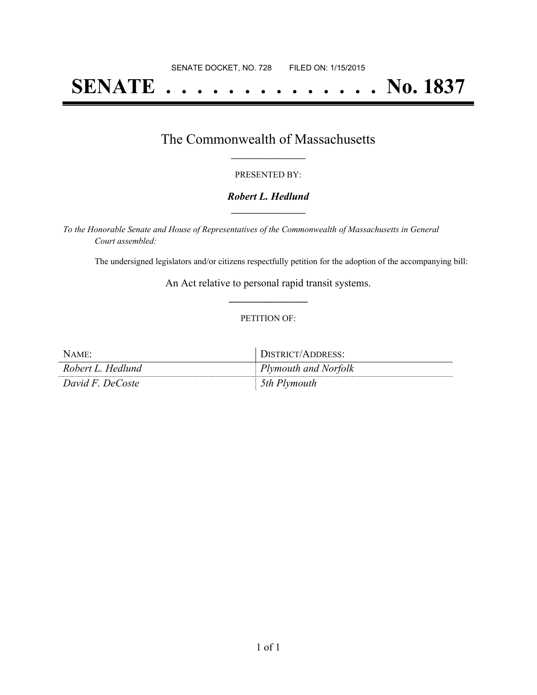# **SENATE . . . . . . . . . . . . . . No. 1837**

### The Commonwealth of Massachusetts **\_\_\_\_\_\_\_\_\_\_\_\_\_\_\_\_\_**

#### PRESENTED BY:

#### *Robert L. Hedlund* **\_\_\_\_\_\_\_\_\_\_\_\_\_\_\_\_\_**

*To the Honorable Senate and House of Representatives of the Commonwealth of Massachusetts in General Court assembled:*

The undersigned legislators and/or citizens respectfully petition for the adoption of the accompanying bill:

An Act relative to personal rapid transit systems. **\_\_\_\_\_\_\_\_\_\_\_\_\_\_\_**

#### PETITION OF:

| NAME:             | DISTRICT/ADDRESS:    |
|-------------------|----------------------|
| Robert L. Hedlund | Plymouth and Norfolk |
| David F. DeCoste  | 5th Plymouth         |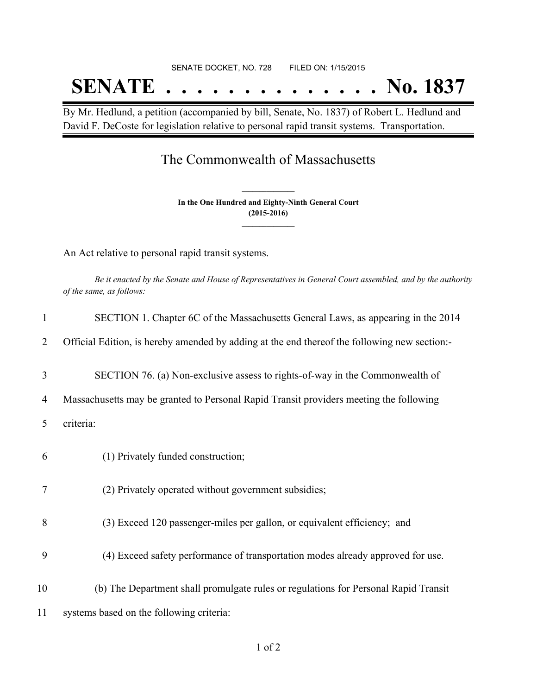# SENATE DOCKET, NO. 728 FILED ON: 1/15/2015 **SENATE . . . . . . . . . . . . . . No. 1837**

By Mr. Hedlund, a petition (accompanied by bill, Senate, No. 1837) of Robert L. Hedlund and David F. DeCoste for legislation relative to personal rapid transit systems. Transportation.

## The Commonwealth of Massachusetts

**In the One Hundred and Eighty-Ninth General Court (2015-2016) \_\_\_\_\_\_\_\_\_\_\_\_\_\_\_**

**\_\_\_\_\_\_\_\_\_\_\_\_\_\_\_**

An Act relative to personal rapid transit systems.

Be it enacted by the Senate and House of Representatives in General Court assembled, and by the authority *of the same, as follows:*

| $\mathbf{1}$   | SECTION 1. Chapter 6C of the Massachusetts General Laws, as appearing in the 2014            |
|----------------|----------------------------------------------------------------------------------------------|
| 2              | Official Edition, is hereby amended by adding at the end thereof the following new section:- |
| 3              | SECTION 76. (a) Non-exclusive assess to rights-of-way in the Commonwealth of                 |
| $\overline{4}$ | Massachusetts may be granted to Personal Rapid Transit providers meeting the following       |
| 5              | criteria:                                                                                    |
| 6              | (1) Privately funded construction;                                                           |
| 7              | (2) Privately operated without government subsidies;                                         |
| 8              | (3) Exceed 120 passenger-miles per gallon, or equivalent efficiency; and                     |
| 9              | (4) Exceed safety performance of transportation modes already approved for use.              |
| 10             | (b) The Department shall promulgate rules or regulations for Personal Rapid Transit          |
| 11             | systems based on the following criteria:                                                     |